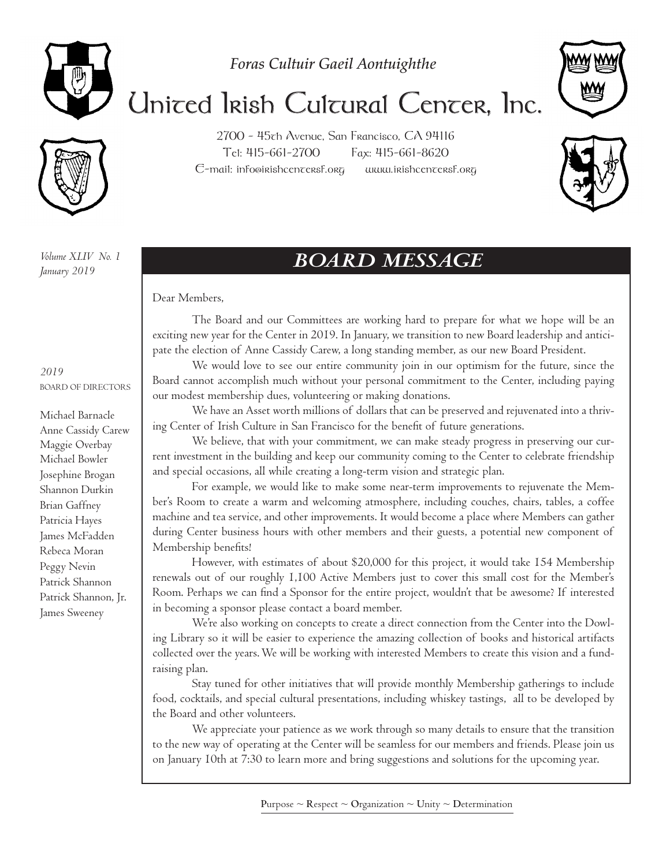

*Foras Cultuir Gaeil Aontuighthe*



## United Irish Cultural Center, Inc.

2700 - 45th Avenue, San Francisco, CA 94116 Tel: 415-661-2700 Fax: 415-661-8620  $E$ -mail: info@irishcen $\tau$ ersf.org www.irishcen $\tau$ ersf.org



*Volume XLIV No. 1 January 2019*

#### *2019* BOARD OF DIRECTORS

Michael Barnacle Anne Cassidy Carew Maggie Overbay Michael Bowler Josephine Brogan Shannon Durkin Brian Gaffney Patricia Hayes James McFadden Rebeca Moran Peggy Nevin Patrick Shannon Patrick Shannon, Jr. James Sweeney

## *BOARD MESSAGE*

Dear Members,

The Board and our Committees are working hard to prepare for what we hope will be an exciting new year for the Center in 2019. In January, we transition to new Board leadership and anticipate the election of Anne Cassidy Carew, a long standing member, as our new Board President.

We would love to see our entire community join in our optimism for the future, since the Board cannot accomplish much without your personal commitment to the Center, including paying our modest membership dues, volunteering or making donations.

We have an Asset worth millions of dollars that can be preserved and rejuvenated into a thriving Center of Irish Culture in San Francisco for the benefit of future generations.

We believe, that with your commitment, we can make steady progress in preserving our current investment in the building and keep our community coming to the Center to celebrate friendship and special occasions, all while creating a long-term vision and strategic plan.

For example, we would like to make some near-term improvements to rejuvenate the Member's Room to create a warm and welcoming atmosphere, including couches, chairs, tables, a coffee machine and tea service, and other improvements. It would become a place where Members can gather during Center business hours with other members and their guests, a potential new component of Membership benefits!

However, with estimates of about \$20,000 for this project, it would take 154 Membership renewals out of our roughly 1,100 Active Members just to cover this small cost for the Member's Room. Perhaps we can find a Sponsor for the entire project, wouldn't that be awesome? If interested in becoming a sponsor please contact a board member.

We're also working on concepts to create a direct connection from the Center into the Dowling Library so it will be easier to experience the amazing collection of books and historical artifacts collected over the years. We will be working with interested Members to create this vision and a fundraising plan.

Stay tuned for other initiatives that will provide monthly Membership gatherings to include food, cocktails, and special cultural presentations, including whiskey tastings, all to be developed by the Board and other volunteers.

We appreciate your patience as we work through so many details to ensure that the transition to the new way of operating at the Center will be seamless for our members and friends. Please join us on January 10th at 7:30 to learn more and bring suggestions and solutions for the upcoming year.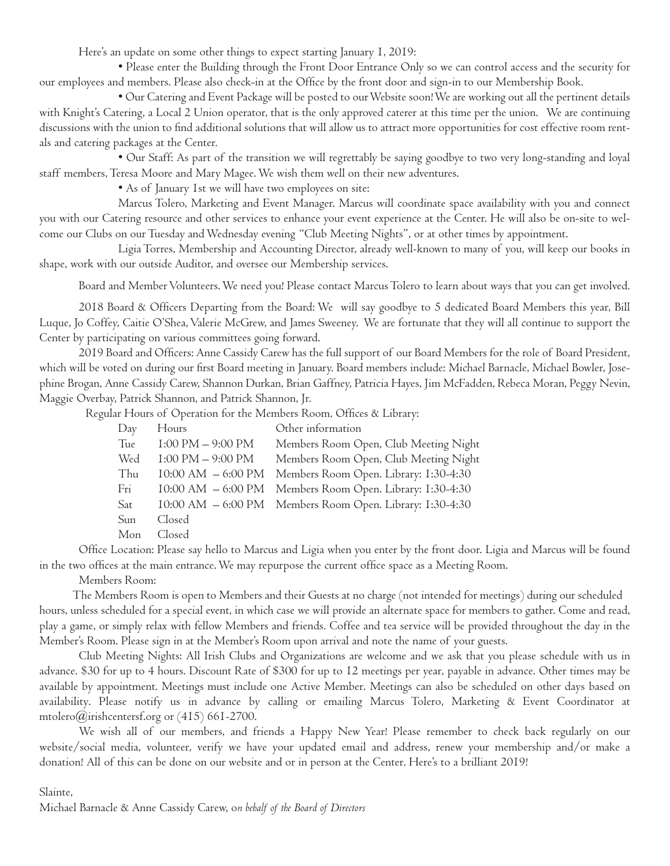Here's an update on some other things to expect starting January 1, 2019:

• Please enter the Building through the Front Door Entrance Only so we can control access and the security for our employees and members. Please also check-in at the Office by the front door and sign-in to our Membership Book.

• Our Catering and Event Package will be posted to our Website soon! We are working out all the pertinent details with Knight's Catering, a Local 2 Union operator, that is the only approved caterer at this time per the union. We are continuing discussions with the union to find additional solutions that will allow us to attract more opportunities for cost effective room rentals and catering packages at the Center.

• Our Staff: As part of the transition we will regrettably be saying goodbye to two very long-standing and loyal staff members, Teresa Moore and Mary Magee. We wish them well on their new adventures.

• As of January 1st we will have two employees on site:

Marcus Tolero, Marketing and Event Manager. Marcus will coordinate space availability with you and connect you with our Catering resource and other services to enhance your event experience at the Center. He will also be on-site to welcome our Clubs on our Tuesday and Wednesday evening "Club Meeting Nights", or at other times by appointment.

Ligia Torres, Membership and Accounting Director, already well-known to many of you, will keep our books in shape, work with our outside Auditor, and oversee our Membership services.

Board and Member Volunteers. We need you! Please contact Marcus Tolero to learn about ways that you can get involved.

2018 Board & Officers Departing from the Board: We will say goodbye to 5 dedicated Board Members this year, Bill Luque, Jo Coffey, Caitie O'Shea, Valerie McGrew, and James Sweeney. We are fortunate that they will all continue to support the Center by participating on various committees going forward.

2019 Board and Officers: Anne Cassidy Carew has the full support of our Board Members for the role of Board President, which will be voted on during our first Board meeting in January. Board members include: Michael Barnacle, Michael Bowler, Josephine Brogan, Anne Cassidy Carew, Shannon Durkan, Brian Gaffney, Patricia Hayes, Jim McFadden, Rebeca Moran, Peggy Nevin, Maggie Overbay, Patrick Shannon, and Patrick Shannon, Jr.

Regular Hours of Operation for the Members Room, Offices & Library:

| Day | Hours                               | Other information                                        |
|-----|-------------------------------------|----------------------------------------------------------|
| Tue | $1:00 \text{ PM} - 9:00 \text{ PM}$ | Members Room Open, Club Meeting Night                    |
| Wed | $1:00 \text{ PM} - 9:00 \text{ PM}$ | Members Room Open, Club Meeting Night                    |
| Thu | $10:00$ AM $-6:00$ PM               | Members Room Open. Library: I:30-4:30                    |
| Fri | $10:00$ AM $-6:00$ PM               | Members Room Open. Library: I:30-4:30                    |
| Sat |                                     | 10:00 AM - 6:00 PM Members Room Open. Library: 1:30-4:30 |
| Sun | Closed                              |                                                          |
| Mon | Closed                              |                                                          |

Office Location: Please say hello to Marcus and Ligia when you enter by the front door. Ligia and Marcus will be found in the two offices at the main entrance. We may repurpose the current office space as a Meeting Room.

Members Room:

 The Members Room is open to Members and their Guests at no charge (not intended for meetings) during our scheduled hours, unless scheduled for a special event, in which case we will provide an alternate space for members to gather. Come and read, play a game, or simply relax with fellow Members and friends. Coffee and tea service will be provided throughout the day in the Member's Room. Please sign in at the Member's Room upon arrival and note the name of your guests.

Club Meeting Nights: All Irish Clubs and Organizations are welcome and we ask that you please schedule with us in advance. \$30 for up to 4 hours. Discount Rate of \$300 for up to 12 meetings per year, payable in advance. Other times may be available by appointment. Meetings must include one Active Member. Meetings can also be scheduled on other days based on availability. Please notify us in advance by calling or emailing Marcus Tolero, Marketing & Event Coordinator at mtolero@irishcentersf.org or (415) 661-2700.

We wish all of our members, and friends a Happy New Year! Please remember to check back regularly on our website/social media, volunteer, verify we have your updated email and address, renew your membership and/or make a donation! All of this can be done on our website and or in person at the Center. Here's to a brilliant 2019!

#### Slainte,

Michael Barnacle & Anne Cassidy Carew, o*n behalf of the Board of Directors*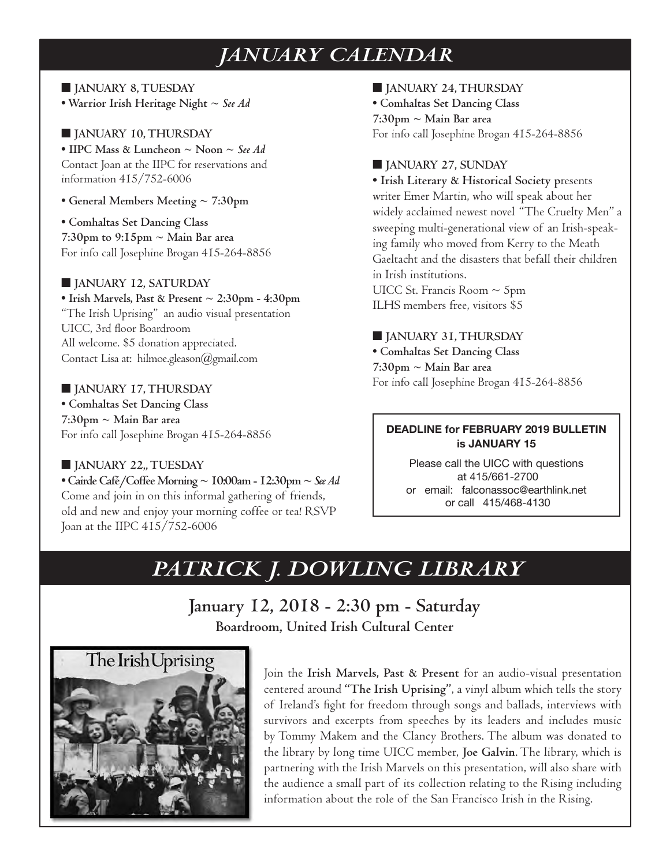## *JANUARY CALENDAR*

■ **JANUARY 8, TUESDAY • Warrior Irish Heritage Night ~** *See Ad* 

■ **JANUARY 10, THURSDAY • IIPC Mass & Luncheon ~ Noon ~** *See Ad* Contact Joan at the IIPC for reservations and information 415/752-6006

**• General Members Meeting ~ 7:30pm**

**• Comhaltas Set Dancing Class 7:30pm to 9:15pm ~ Main Bar area** For info call Josephine Brogan 415-264-8856

#### ■ **JANUARY 12, SATURDAY**

**• Irish Marvels, Past & Present ~ 2:30pm - 4:30pm** "The Irish Uprising" an audio visual presentation UICC, 3rd floor Boardroom All welcome. \$5 donation appreciated. Contact Lisa at: hilmoe.gleason@gmail.com

#### ■ **JANUARY 17, THURSDAY**

**• Comhaltas Set Dancing Class 7:30pm ~ Main Bar area** For info call Josephine Brogan 415-264-8856

#### ■ **JANUARY 22,, TUESDAY**

**• Cairde Café/Coffee Morning ~ 10:00am - 12:30pm ~** *See Ad* Come and join in on this informal gathering of friends, old and new and enjoy your morning coffee or tea! RSVP Joan at the IIPC 415/752-6006

■ **JANUARY 24, THURSDAY**

**• Comhaltas Set Dancing Class 7:30pm ~ Main Bar area** For info call Josephine Brogan 415-264-8856

#### ■ **JANUARY 27, SUNDAY**

**• Irish Literary & Historical Society p**resents writer Emer Martin, who will speak about her widely acclaimed newest novel "The Cruelty Men" a sweeping multi-generational view of an Irish-speaking family who moved from Kerry to the Meath Gaeltacht and the disasters that befall their children in Irish institutions. UICC St. Francis Room  $\sim$  5pm

ILHS members free, visitors \$5

#### ■ **JANUARY 31, THURSDAY**

**• Comhaltas Set Dancing Class 7:30pm ~ Main Bar area** For info call Josephine Brogan 415-264-8856

#### **DEADLINE for FEBRUARY 2019 BULLETIN is JANUARY 15**

Please call the UICC with questions at 415/661-2700 or email: falconassoc@earthlink.net or call 415/468-4130

## *PATRICK J. DOWLING LIBRARY*

**January 12, 2018 - 2:30 pm - Saturday Boardroom, United Irish Cultural Center**



Join the **Irish Marvels, Past & Present** for an audio-visual presentation centered around **"The Irish Uprising"**, a vinyl album which tells the story of Ireland's fight for freedom through songs and ballads, interviews with survivors and excerpts from speeches by its leaders and includes music by Tommy Makem and the Clancy Brothers. The album was donated to the library by long time UICC member, **Joe Galvin**. The library, which is partnering with the Irish Marvels on this presentation, will also share with the audience a small part of its collection relating to the Rising including information about the role of the San Francisco Irish in the Rising.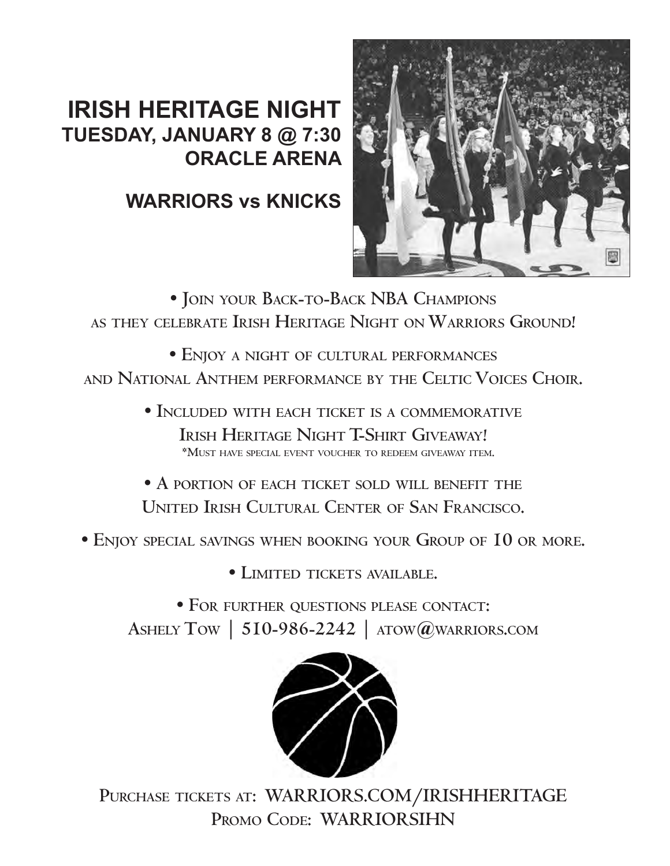## **IRISH HERITAGE NIGHT TUESDAY, JANUARY 8 @ 7:30 ORACLE ARENA**

## **WARRIORS vs KNICKS**



**• Join your Back-to-Back NBA Champions as they celebrate Irish Heritage Night on Warriors Ground!**

**• Enjoy a night of cultural performances and National Anthem performance by the Celtic Voices Choir.**

> **• Included with each ticket is a commemorative Irish Heritage Night T-Shirt Giveaway! \*Must have special event voucher to redeem giveaway item.**

> **• A portion of each ticket sold will benefit the United Irish Cultural Center of San Francisco.**

**• Enjoy special savings when booking your Group of 10 or more.**

**• Limited tickets available.** 

**• For further questions please contact: Ashely Tow | 510-986-2242 | atow@warriors.com**



**Purchase tickets at: WARRIORS.COM/IRISHHERITAGE Promo Code: WARRIORSIHN**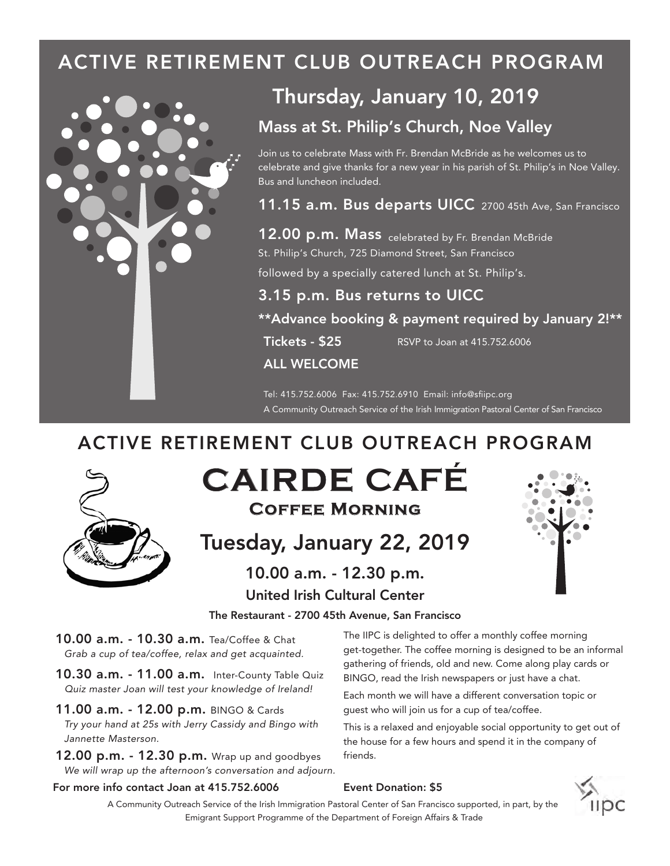## ACTIVE RETIREMENT CLUB OUTREACH PROGRAM



## Thursday, January 10, 2019

#### Mass at St. Philip's Church, Noe Valley

Join us to celebrate Mass with Fr. Brendan McBride as he welcomes us to celebrate and give thanks for a new year in his parish of St. Philip's in Noe Valley. Bus and luncheon included.

11.15 a.m. Bus departs UICC 2700 45th Ave, San Francisco

12.00 p.m. Mass celebrated by Fr. Brendan McBride St. Philip's Church, 725 Diamond Street, San Francisco

followed by a specially catered lunch at St. Philip's.

#### 3.15 p.m. Bus returns to UICC

\*\*Advance booking & payment required by January 2!\*\*

**Tickets - \$25** RSVP to Joan at 415.752.6006

ALL WELCOME

A Community Outreach Service of the Irish Immigration Pastoral Center of San Francisco Tel: 415.752.6006 Fax: 415.752.6910 Email: info@sfiipc.org

### ACTIVE RETIREMENT CLUB OUTREACH PROGRAM



## **CAIRDE CAFÉ Coffee Morning**

Tuesday, January 22, 2019

#### The Restaurant - 2700 45th Avenue, San Francisco United Irish Cultural Center 10.00 a.m. - 12.30 p.m.



10.00 a.m. - 10.30 a.m. Tea/Coffee & Chat *Grab a cup of tea/coffee, relax and get acquainted.*

- 10.30 a.m. 11.00 a.m. Inter-County Table Quiz  *Quiz master Joan will test your knowledge of Ireland!*
- 11.00 a.m. 12.00 p.m. BINGO & Cards *Try your hand at 25s with Jerry Cassidy and Bingo with Jannette Masterson.*
- **12.00 p.m. 12.30 p.m.** Wrap up and goodbyes *We will wrap up the afternoon's conversation and adjourn.*

#### For more info contact Joan at 415.752.6006

The IIPC is delighted to offer a monthly coffee morning get-together. The coffee morning is designed to be an informal gathering of friends, old and new. Come along play cards or BINGO, read the Irish newspapers or just have a chat.

guest who will join us for a cup of tea/coffee. Each month we will have a different conversation topic or

This is a relaxed and enjoyable social opportunity to get out of the house for a few hours and spend it in the company of friends.

#### Event Donation: \$5



A Community Outreach Service of the Irish Immigration Pastoral Center of San Francisco supported, in part, by the Emigrant Support Programme of the Department of Foreign Affairs & Trade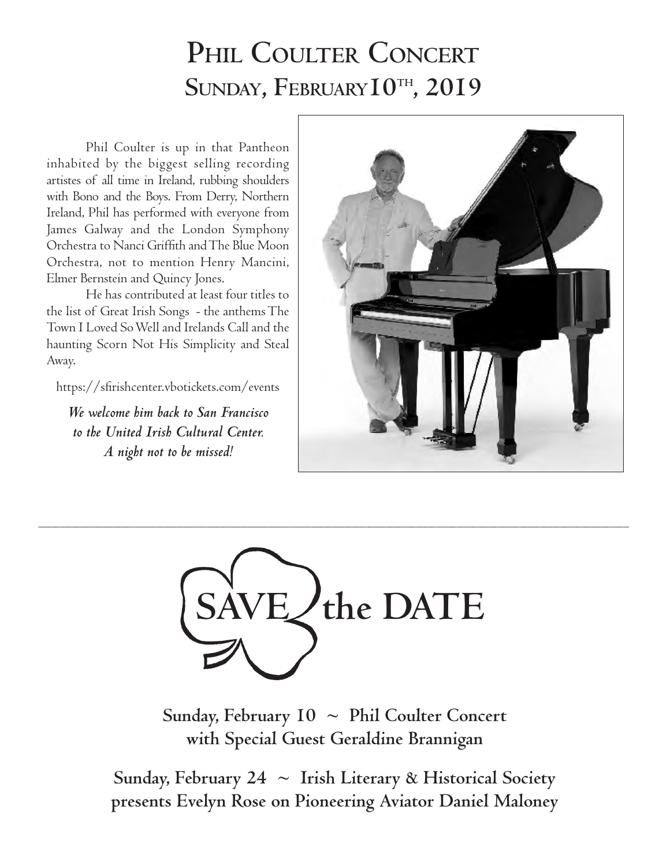## PHIL COULTER CONCERT SUNDAY, FEBRUARY<sup>I0TH</sup>, 2019

Phil Coulter is up in that Pantheon inhabited by the biggest selling recording artistes of all time in Ireland, rubbing shoulders with Bono and the Boys. From Derry, Northern Ireland, Phil has performed with everyone from James Galway and the London Symphony Orchestra to Nanci Griffith and The Blue Moon Orchestra, not to mention Henry Mancini, Elmer Bernstein and Quincy Jones.

He has contributed at least four titles to the list of Great Irish Songs - the anthems The Town I Loved So Well and Irelands Call and the haunting Scorn Not His Simplicity and Steal Away.

https://sfirishcenter.vbotickets.com/events

*We welcome him back to San Francisco to the United Irish Cultural Center. A night not to be missed!*





**Sunday, February 10 ~ Phil Coulter Concert with Special Guest Geraldine Brannigan** 

**Sunday, February 24 ~ Irish Literary & Historical Society presents Evelyn Rose on Pioneering Aviator Daniel Maloney**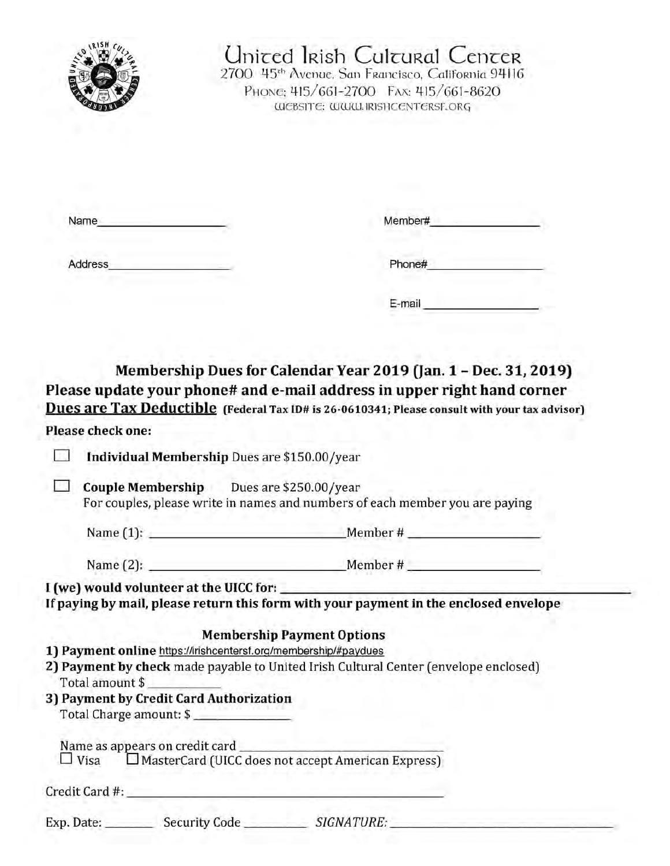

## Uniced Irish Culcural Cencer

2700 45th Avenue, San Francisco, California 94116 PHONG: 415/661-2700 FAX: 415/661-8620 WEBSITE: WWW.IRISHCENTERSF.ORG

| Name                                                  | Member# |
|-------------------------------------------------------|---------|
| Address<br>sold sandy.<br><b>Carried Construction</b> | Phone#  |
|                                                       | E-mail  |

Membership Dues for Calendar Year 2019 (Jan. 1 - Dec. 31, 2019) Please update your phone# and e-mail address in upper right hand corner Dues are Tax Deductible (Federal Tax ID# is 26-0610341; Please consult with your tax advisor)

#### Please check one:

 $11$ Individual Membership Dues are \$150.00/year

 $\Box$  Couple Membership Dues are \$250.00/year For couples, please write in names and numbers of each member you are paying

Name  $(2)$ :

I (we) would volunteer at the UICC for:

If paying by mail, please return this form with your payment in the enclosed envelope

#### **Membership Payment Options**

- 1) Payment online https://irishcentersf.org/membership/#paydues
- 2) Payment by check made payable to United Irish Cultural Center (envelope enclosed) Total amount \$
- 3) Payment by Credit Card Authorization Total Charge amount: \$

 $\Box$  Visa  $\Box$  MasterCard (UICC does not accept American Express)

Exp. Date: Security Code SIGNATURE: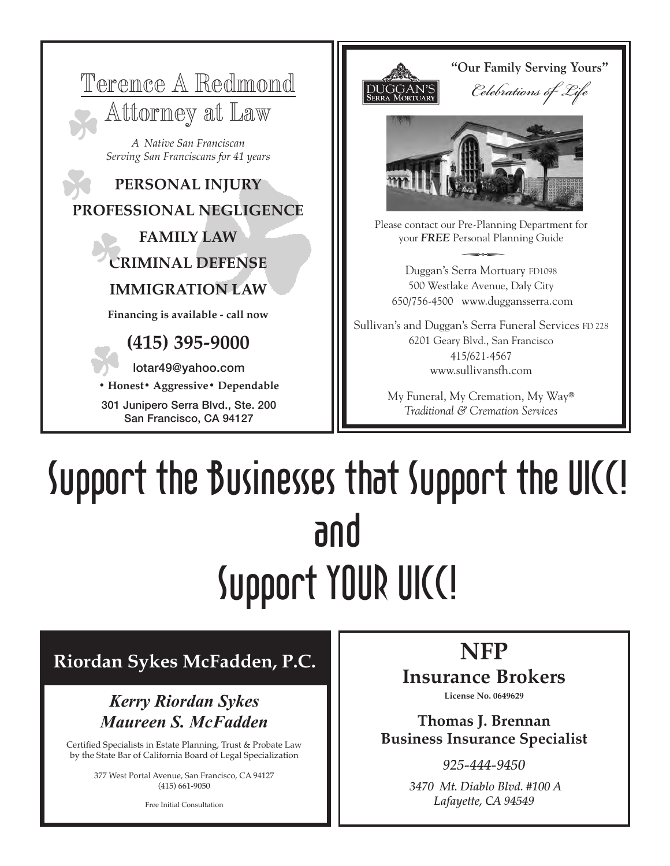



e contact our Pre-Planning Departme<br>your *FREE* Personal Planning Guide Duggan's Serra Mortuary FD1098 500 Westlake Avenue, Daly City

650/756-4500 www.duggansserra.com

Sullivan's and Duggan's Serra Funeral Services FD 228 6201 Geary Blvd., San Francisco 415/621-4567 www.sullivansfh.com

> My Funeral, My Cremation, My Way® *Traditional & Cremation Services*

# Support the Businesses that Support the UICC! and Support YOUR UICC!

### **Riordan Sykes McFadden, P.C.**

#### *Kerry Riordan Sykes Maureen S. McFadden*

Certified Specialists in Estate Planning, Trust & Probate Law by the State Bar of California Board of Legal Specialization

> 377 West Portal Avenue, San Francisco, CA 94127 (415) 661-9050

> > Free Initial Consultation

**NFP**

## **Insurance Brokers**

**License No. 0649629**

**Thomas J. Brennan Business Insurance Specialist**

> *925-444-9450 3470 Mt. Diablo Blvd. #100 A Lafayette, CA 94549*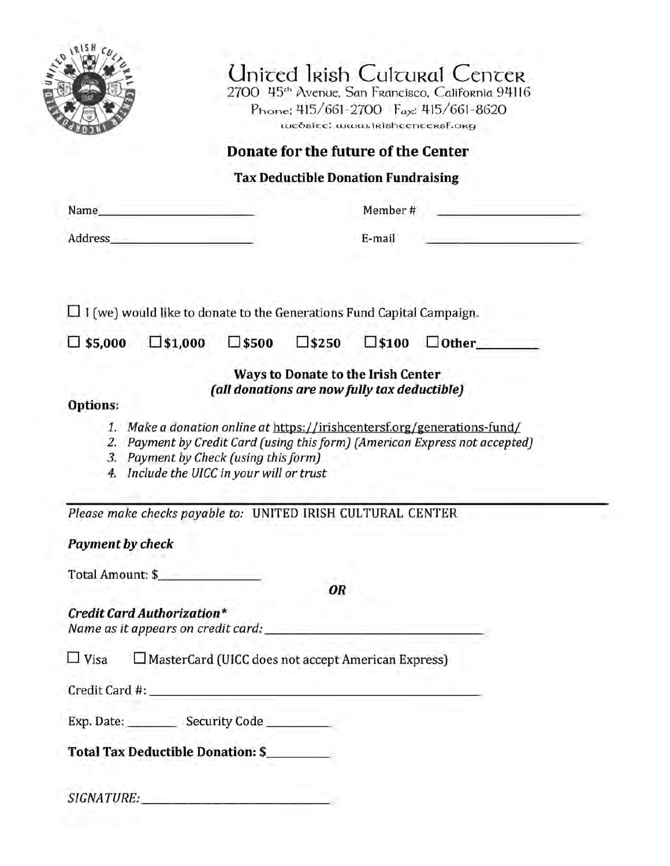|                                                                                                                        |                                              | Donate for the future of the Center        |                 |                                                                                                                                                         |
|------------------------------------------------------------------------------------------------------------------------|----------------------------------------------|--------------------------------------------|-----------------|---------------------------------------------------------------------------------------------------------------------------------------------------------|
|                                                                                                                        |                                              | <b>Tax Deductible Donation Fundraising</b> |                 |                                                                                                                                                         |
| Name_                                                                                                                  |                                              |                                            | Member #        |                                                                                                                                                         |
| <b>Address</b>                                                                                                         |                                              |                                            | E-mail          |                                                                                                                                                         |
| $\Box$ I (we) would like to donate to the Generations Fund Capital Campaign.<br>$\square$ \$5,000<br>$\square$ \$1,000 | $\square$ \$500                              | $\square$ \$250                            | $\square$ \$100 | $\Box$ Other                                                                                                                                            |
| Options:                                                                                                               | (all donations are now fully tax deductible) | Ways to Donate to the Irish Center         |                 |                                                                                                                                                         |
| 3. Payment by Check (using this form)<br>4. Include the UICC in your will or trust                                     |                                              |                                            |                 | 1. Make a donation online at https://irishcentersf.org/generations-fund/<br>2. Payment by Credit Card (using this form) (American Express not accepted) |
|                                                                                                                        |                                              |                                            |                 |                                                                                                                                                         |
| Please make checks payable to: UNITED IRISH CULTURAL CENTER                                                            |                                              |                                            |                 |                                                                                                                                                         |
| <b>Payment by check</b>                                                                                                |                                              |                                            |                 |                                                                                                                                                         |
| Total Amount: \$                                                                                                       |                                              |                                            |                 |                                                                                                                                                         |
| <b>Credit Card Authorization*</b>                                                                                      |                                              | OR                                         |                 |                                                                                                                                                         |
| $\Box$ Visa<br>$\Box$ MasterCard (UICC does not accept American Express)                                               |                                              |                                            |                 |                                                                                                                                                         |
|                                                                                                                        |                                              |                                            |                 |                                                                                                                                                         |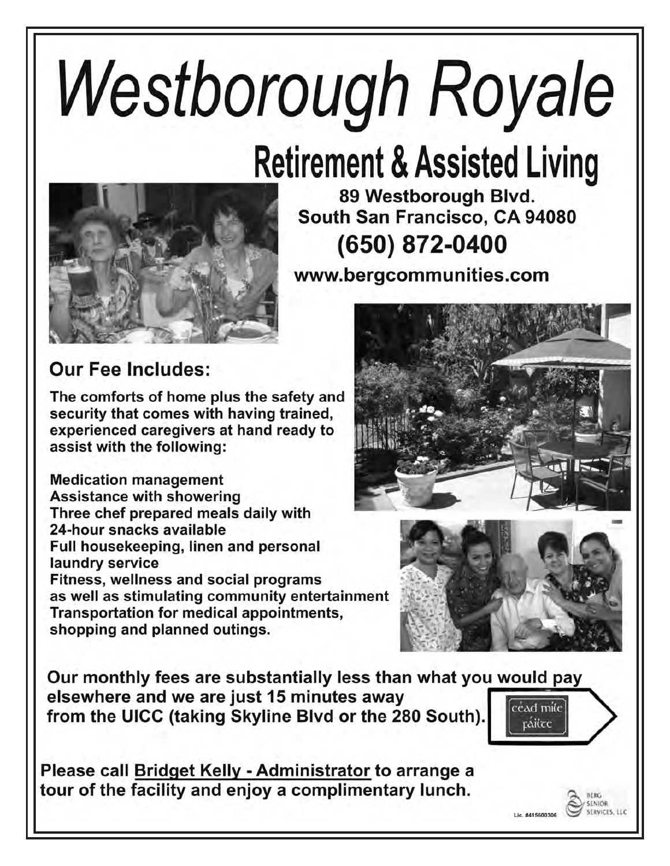# Westborough Royale

## **Retirement & Assisted Living**



89 Westborough Blvd. South San Francisco, CA 94080 (650) 872-0400

www.bergcommunities.com

## **Our Fee Includes:**

The comforts of home plus the safety and security that comes with having trained, experienced caregivers at hand ready to assist with the following:

**Medication management Assistance with showering** Three chef prepared meals daily with 24-hour snacks available Full housekeeping, linen and personal laundry service Fitness, wellness and social programs as well as stimulating community entertainment Transportation for medical appointments, shopping and planned outings.





SENIOR **ERVICES LLC** 

Lic. #415600306

Our monthly fees are substantially less than what you would pay elsewhere and we are just 15 minutes away  $[\mathrm{c\acute{e}ad\ m\acute{d}e}]$ from the UICC (taking Skyline Blvd or the 280 South). ráilte

Please call Bridget Kelly - Administrator to arrange a tour of the facility and enjoy a complimentary lunch.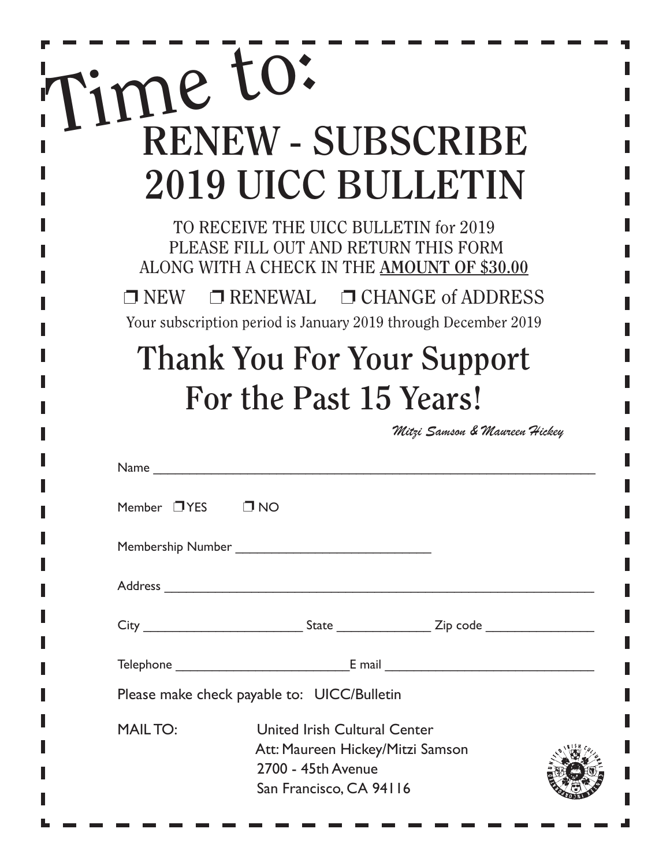| ime to:<br><b>RENEW - SUBSCRIBE</b><br><b>2019 UICC BULLETIN</b>                                                                                                                                                                                        |
|---------------------------------------------------------------------------------------------------------------------------------------------------------------------------------------------------------------------------------------------------------|
| TO RECEIVE THE UICC BULLETIN for 2019<br>PLEASE FILL OUT AND RETURN THIS FORM<br>ALONG WITH A CHECK IN THE AMOUNT OF \$30.00<br>$\Box$ RENEWAL $\Box$ CHANGE of ADDRESS<br>$\Box$ NEW<br>Your subscription period is January 2019 through December 2019 |
| <b>Thank You For Your Support</b>                                                                                                                                                                                                                       |
| For the Past 15 Years!                                                                                                                                                                                                                                  |
| Mitzi Samson & Maureen Hickey                                                                                                                                                                                                                           |
| Name                                                                                                                                                                                                                                                    |
| O ND<br>Member □YES                                                                                                                                                                                                                                     |
|                                                                                                                                                                                                                                                         |
|                                                                                                                                                                                                                                                         |

| Address        |                                                                                                                                                                                                                                                                                                                                                        |  |
|----------------|--------------------------------------------------------------------------------------------------------------------------------------------------------------------------------------------------------------------------------------------------------------------------------------------------------------------------------------------------------|--|
|                |                                                                                                                                                                                                                                                                                                                                                        |  |
|                | Telephone <b>E</b> mail <b>E</b> mail <b>E</b> mail <b>E</b> mail <b>E</b> mail <b>E</b> mail <b>E</b> mail <b>E</b> mail <b>E</b> mail <b>E</b> mail <b>E</b> mail <b>E</b> mail <b>E</b> mail <b>E</b> mail <b>E</b> mail <b>E</b> mail <b>E</b> mail <b>E</b> mail <b>E</b> mail <b>E</b> mail <b>E</b> mail <b>E</b> mail <b>E</b> mail <b>E</b> m |  |
|                | Please make check payable to: UICC/Bulletin                                                                                                                                                                                                                                                                                                            |  |
| <b>MAILTO:</b> | United Irish Cultural Center<br>Att: Maureen Hickey/Mitzi Samson<br>2700 - 45th Avenue<br>San Francisco, CA 94116                                                                                                                                                                                                                                      |  |

 $\overline{\phantom{a}}$